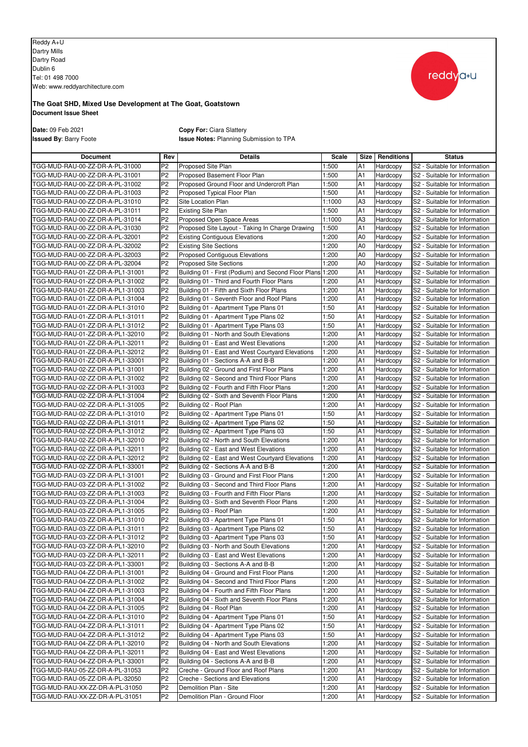Reddy A+U Dartry Mills Dartry Road Dublin 6 Tel: 01 498 7000 Web: www.reddyarchitecture.com



## **Document Issue Sheet The Goat SHD, Mixed Use Development at The Goat, Goatstown**

**Date:** 09 Feb 2021 **Copy For:** Ciara Slattery **Issued By**: Barry Foote **Issue Notes:** Planning Submission to TPA

| <b>Document</b>                  | Rev            | <b>Details</b>                                      | Scale  | Size           | <b>Renditions</b> | <b>Status</b>                 |
|----------------------------------|----------------|-----------------------------------------------------|--------|----------------|-------------------|-------------------------------|
| TGG-MUD-RAU-00-ZZ-DR-A-PL-31000  | P2             | Proposed Site Plan                                  | 1:500  | A1             | Hardcopy          | S2 - Suitable for Information |
| TGG-MUD-RAU-00-ZZ-DR-A-PL-31001  | P <sub>2</sub> | Proposed Basement Floor Plan                        | 1:500  | A <sub>1</sub> | Hardcopy          | S2 - Suitable for Information |
| TGG-MUD-RAU-00-ZZ-DR-A-PL-31002  | P <sub>2</sub> | Proposed Ground Floor and Undercroft Plan           | 1:500  | A1             | Hardcopy          | S2 - Suitable for Information |
| TGG-MUD-RAU-00-ZZ-DR-A-PL-31003  | P <sub>2</sub> | Proposed Typical Floor Plan                         | 1:500  | A1             | Hardcopy          | S2 - Suitable for Information |
| TGG-MUD-RAU-00-ZZ-DR-A-PL-31010  | P <sub>2</sub> | Site Location Plan                                  | 1:1000 | A <sub>3</sub> | Hardcopy          | S2 - Suitable for Information |
| TGG-MUD-RAU-00-ZZ-DR-A-PL-31011  | P <sub>2</sub> | <b>Existing Site Plan</b>                           | 1:500  | A1             | Hardcopy          | S2 - Suitable for Information |
| TGG-MUD-RAU-00-ZZ-DR-A-PL-31014  | P2             | Proposed Open Space Areas                           | 1:1000 | A <sub>3</sub> | Hardcopy          | S2 - Suitable for Information |
| TGG-MUD-RAU-00-ZZ-DR-A-PL-31030  | P <sub>2</sub> | Proposed Site Layout - Taking In Charge Drawing     | 1:500  | A1             | Hardcopy          | S2 - Suitable for Information |
| TGG-MUD-RAU-00-ZZ-DR-A-PL-32001  | P2             | <b>Existing Contiguous Elevations</b>               | 1:200  | A <sub>0</sub> | Hardcopy          | S2 - Suitable for Information |
| TGG-MUD-RAU-00-ZZ-DR-A-PL-32002  | P <sub>2</sub> | <b>Existing Site Sections</b>                       | 1:200  | A <sub>0</sub> | Hardcopy          | S2 - Suitable for Information |
| TGG-MUD-RAU-00-ZZ-DR-A-PL-32003  | P <sub>2</sub> | Proposed Contiguous Elevations                      | 1:200  | A <sub>0</sub> | Hardcopy          | S2 - Suitable for Information |
| TGG-MUD-RAU-00-ZZ-DR-A-PL-32004  | P2             | <b>Proposed Site Sections</b>                       | 1:200  | A <sub>0</sub> | Hardcopy          | S2 - Suitable for Information |
| TGG-MUD-RAU-01-ZZ-DR-A-PL1-31001 | P <sub>2</sub> | Building 01 - First (Podium) and Second Floor Plans | 1:200  | A <sub>1</sub> | Hardcopy          | S2 - Suitable for Information |
| TGG-MUD-RAU-01-ZZ-DR-A-PL1-31002 | P <sub>2</sub> | Building 01 - Third and Fourth Floor Plans          | 1:200  | A1             | Hardcopy          | S2 - Suitable for Information |
| TGG-MUD-RAU-01-ZZ-DR-A-PL1-31003 | P <sub>2</sub> | Building 01 - Fifth and Sixth Floor Plans           | 1:200  | A1             | Hardcopy          | S2 - Suitable for Information |
| TGG-MUD-RAU-01-ZZ-DR-A-PL1-31004 | P <sub>2</sub> | Building 01 - Seventh Floor and Roof Plans          | 1:200  | A1             | Hardcopy          | S2 - Suitable for Information |
| TGG-MUD-RAU-01-ZZ-DR-A-PL1-31010 | P <sub>2</sub> | Building 01 - Apartment Type Plans 01               | 1:50   | A1             | Hardcopy          | S2 - Suitable for Information |
| TGG-MUD-RAU-01-ZZ-DR-A-PL1-31011 | P <sub>2</sub> | Building 01 - Apartment Type Plans 02               | 1:50   | A1             | Hardcopy          | S2 - Suitable for Information |
| TGG-MUD-RAU-01-ZZ-DR-A-PL1-31012 | P2             | Building 01 - Apartment Type Plans 03               | 1:50   | A1             | Hardcopy          | S2 - Suitable for Information |
| TGG-MUD-RAU-01-ZZ-DR-A-PL1-32010 | P <sub>2</sub> | Building 01 - North and South Elevations            | 1:200  | A1             | Hardcopy          | S2 - Suitable for Information |
| TGG-MUD-RAU-01-ZZ-DR-A-PL1-32011 | P <sub>2</sub> | Building 01 - East and West Elevations              | 1:200  | A1             | Hardcopy          | S2 - Suitable for Information |
| TGG-MUD-RAU-01-ZZ-DR-A-PL1-32012 | P2             | Building 01 - East and West Courtyard Elevations    | 1:200  | A1             | Hardcopy          | S2 - Suitable for Information |
| TGG-MUD-RAU-01-ZZ-DR-A-PL1-33001 | P <sub>2</sub> | Building 01 - Sections A-A and B-B                  | 1:200  | A1             | Hardcopy          | S2 - Suitable for Information |
| TGG-MUD-RAU-02-ZZ-DR-A-PL1-31001 | P <sub>2</sub> | Building 02 - Ground and First Floor Plans          | 1:200  | A <sub>1</sub> | Hardcopy          | S2 - Suitable for Information |
| TGG-MUD-RAU-02-ZZ-DR-A-PL1-31002 | P <sub>2</sub> | Building 02 - Second and Third Floor Plans          | 1:200  | A1             | Hardcopy          | S2 - Suitable for Information |
| TGG-MUD-RAU-02-ZZ-DR-A-PL1-31003 | P <sub>2</sub> | Building 02 - Fourth and Fifth Floor Plans          | 1:200  | A1             | Hardcopy          | S2 - Suitable for Information |
| TGG-MUD-RAU-02-ZZ-DR-A-PL1-31004 | P <sub>2</sub> | Building 02 - Sixth and Seventh Floor Plans         | 1:200  | A1             | Hardcopy          | S2 - Suitable for Information |
| TGG-MUD-RAU-02-ZZ-DR-A-PL1-31005 | P2             | Building 02 - Roof Plan                             | 1:200  | A1             | Hardcopy          | S2 - Suitable for Information |
| TGG-MUD-RAU-02-ZZ-DR-A-PL1-31010 | P <sub>2</sub> | Building 02 - Apartment Type Plans 01               | 1:50   | A1             | Hardcopy          | S2 - Suitable for Information |
| TGG-MUD-RAU-02-ZZ-DR-A-PL1-31011 | P <sub>2</sub> | Building 02 - Apartment Type Plans 02               | 1:50   | A1             | Hardcopy          | S2 - Suitable for Information |
| TGG-MUD-RAU-02-ZZ-DR-A-PL1-31012 | P2             | Building 02 - Apartment Type Plans 03               | 1:50   | A1             | Hardcopy          | S2 - Suitable for Information |
| TGG-MUD-RAU-02-ZZ-DR-A-PL1-32010 | P <sub>2</sub> | Building 02 - North and South Elevations            | 1:200  | A1             | Hardcopy          | S2 - Suitable for Information |
| TGG-MUD-RAU-02-ZZ-DR-A-PL1-32011 | P2             | Building 02 - East and West Elevations              | 1:200  | A1             | Hardcopy          | S2 - Suitable for Information |
| TGG-MUD-RAU-02-ZZ-DR-A-PL1-32012 | P <sub>2</sub> | Building 02 - East and West Courtyard Elevations    | 1:200  | A1             | Hardcopy          | S2 - Suitable for Information |
| TGG-MUD-RAU-02-ZZ-DR-A-PL1-33001 | P <sub>2</sub> | Building 02 - Sections A-A and B-B                  | 1:200  | A1             | Hardcopy          | S2 - Suitable for Information |
| TGG-MUD-RAU-03-ZZ-DR-A-PL1-31001 | P2             | Building 03 - Ground and First Floor Plans          | 1:200  | A1             | Hardcopy          | S2 - Suitable for Information |
| TGG-MUD-RAU-03-ZZ-DR-A-PL1-31002 | P <sub>2</sub> | Building 03 - Second and Third Floor Plans          | 1:200  | A <sub>1</sub> | Hardcopy          | S2 - Suitable for Information |
| TGG-MUD-RAU-03-ZZ-DR-A-PL1-31003 | P <sub>2</sub> | Building 03 - Fourth and Fifth Floor Plans          | 1:200  | A1             | Hardcopy          | S2 - Suitable for Information |
| TGG-MUD-RAU-03-ZZ-DR-A-PL1-31004 | P2             | Building 03 - Sixth and Seventh Floor Plans         | 1:200  | A1             | Hardcopy          | S2 - Suitable for Information |
| TGG-MUD-RAU-03-ZZ-DR-A-PL1-31005 | P <sub>2</sub> | Building 03 - Roof Plan                             | 1:200  | A <sub>1</sub> | Hardcopy          | S2 - Suitable for Information |
| TGG-MUD-RAU-03-ZZ-DR-A-PL1-31010 | P <sub>2</sub> | Building 03 - Apartment Type Plans 01               | 1:50   | A1             | Hardcopy          | S2 - Suitable for Information |
| TGG-MUD-RAU-03-ZZ-DR-A-PL1-31011 | P2             | Building 03 - Apartment Type Plans 02               | 1:50   | A1             | Hardcopy          | S2 - Suitable for Information |
| TGG-MUD-RAU-03-ZZ-DR-A-PL1-31012 | P <sub>2</sub> | Building 03 - Apartment Type Plans 03               | 1:50   | A1             | Hardcopy          | S2 - Suitable for Information |
| TGG-MUD-RAU-03-ZZ-DR-A-PL1-32010 | P <sub>2</sub> | Building 03 - North and South Elevations            | 1:200  | A1             | Hardcopy          | S2 - Suitable for Information |
| TGG-MUD-RAU-03-ZZ-DR-A-PL1-32011 | P <sub>2</sub> | Building 03 - East and West Elevations              | 1:200  | A1             | Hardcopy          | S2 - Suitable for Information |
| TGG-MUD-RAU-03-ZZ-DR-A-PL1-33001 | P <sub>2</sub> | Building 03 - Sections A-A and B-B                  | 1:200  | A1             | Hardcopy          | S2 - Suitable for Information |
| TGG-MUD-RAU-04-ZZ-DR-A-PL1-31001 | P2             | Building 04 - Ground and First Floor Plans          | 1:200  | A1             | Hardcopy          | S2 - Suitable for Information |
| TGG-MUD-RAU-04-ZZ-DR-A-PL1-31002 | P2             | Building 04 - Second and Third Floor Plans          | 1:200  | A1             | Hardcopy          | S2 - Suitable for Information |
| TGG-MUD-RAU-04-ZZ-DR-A-PL1-31003 | P <sub>2</sub> | Building 04 - Fourth and Fifth Floor Plans          | 1:200  | A1             | Hardcopy          | S2 - Suitable for Information |
| TGG-MUD-RAU-04-ZZ-DR-A-PL1-31004 | P2             | Building 04 - Sixth and Seventh Floor Plans         | 1:200  | A1             | Hardcopy          | S2 - Suitable for Information |
| TGG-MUD-RAU-04-ZZ-DR-A-PL1-31005 | P2             | Building 04 - Roof Plan                             | 1:200  | A1             | Hardcopy          | S2 - Suitable for Information |
| TGG-MUD-RAU-04-ZZ-DR-A-PL1-31010 | P <sub>2</sub> | Building 04 - Apartment Type Plans 01               | 1:50   | A1             | Hardcopy          | S2 - Suitable for Information |
| TGG-MUD-RAU-04-ZZ-DR-A-PL1-31011 | P2             | Building 04 - Apartment Type Plans 02               | 1:50   | A1             | Hardcopy          | S2 - Suitable for Information |
| TGG-MUD-RAU-04-ZZ-DR-A-PL1-31012 | P <sub>2</sub> | Building 04 - Apartment Type Plans 03               | 1:50   | A1             | Hardcopy          | S2 - Suitable for Information |
| TGG-MUD-RAU-04-ZZ-DR-A-PL1-32010 | P <sub>2</sub> | Building 04 - North and South Elevations            | 1:200  | A1             | Hardcopy          | S2 - Suitable for Information |
| TGG-MUD-RAU-04-ZZ-DR-A-PL1-32011 | P2             | Building 04 - East and West Elevations              | 1:200  | A1             | Hardcopy          | S2 - Suitable for Information |
| TGG-MUD-RAU-04-ZZ-DR-A-PL1-33001 | P <sub>2</sub> | Building 04 - Sections A-A and B-B                  | 1:200  | A1             | Hardcopy          | S2 - Suitable for Information |
| TGG-MUD-RAU-05-ZZ-DR-A-PL-31053  | P <sub>2</sub> | Creche - Ground Floor and Roof Plans                | 1:200  | A1             | Hardcopy          | S2 - Suitable for Information |
| TGG-MUD-RAU-05-ZZ-DR-A-PL-32050  | P2             | Creche - Sections and Elevations                    | 1:200  | A1             | Hardcopy          | S2 - Suitable for Information |
| TGG-MUD-RAU-XX-ZZ-DR-A-PL-31050  | P <sub>2</sub> | Demolition Plan - Site                              | 1:200  | A1             | Hardcopy          | S2 - Suitable for Information |
| TGG-MUD-RAU-XX-ZZ-DR-A-PL-31051  | P <sub>2</sub> | Demolition Plan - Ground Floor                      | 1:200  | A1             | Hardcopy          | S2 - Suitable for Information |